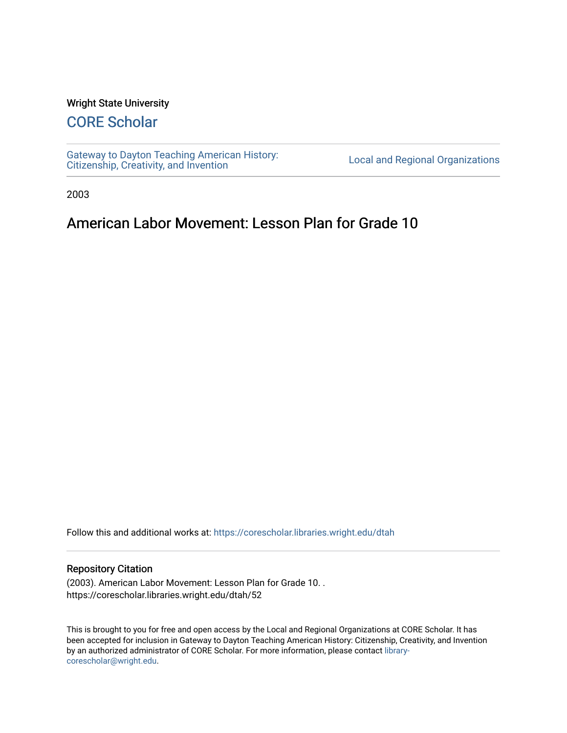#### Wright State University

# [CORE Scholar](https://corescholar.libraries.wright.edu/)

[Gateway to Dayton Teaching American History:](https://corescholar.libraries.wright.edu/dtah)  Gateway to Dayton Teaching American History.<br>[Citizenship, Creativity, and Invention](https://corescholar.libraries.wright.edu/dtah) Listory Local and Regional Organizations

2003

## American Labor Movement: Lesson Plan for Grade 10

Follow this and additional works at: [https://corescholar.libraries.wright.edu/dtah](https://corescholar.libraries.wright.edu/dtah?utm_source=corescholar.libraries.wright.edu%2Fdtah%2F52&utm_medium=PDF&utm_campaign=PDFCoverPages)

#### Repository Citation

(2003). American Labor Movement: Lesson Plan for Grade 10. . https://corescholar.libraries.wright.edu/dtah/52

This is brought to you for free and open access by the Local and Regional Organizations at CORE Scholar. It has been accepted for inclusion in Gateway to Dayton Teaching American History: Citizenship, Creativity, and Invention by an authorized administrator of CORE Scholar. For more information, please contact [library](mailto:library-corescholar@wright.edu)[corescholar@wright.edu](mailto:library-corescholar@wright.edu).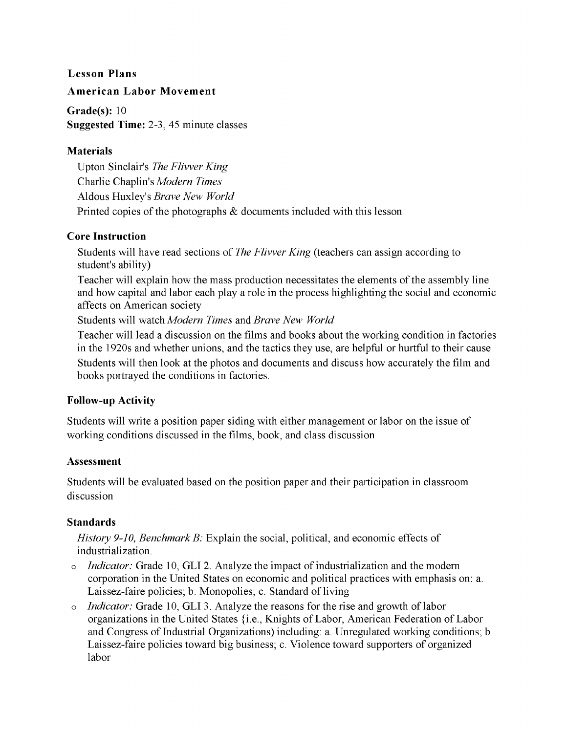#### **Lesson Plans**

#### **American Labor Movement**

**Grade(s):** 10 **Suggested Time:** 2-3, 45 minute classes

#### **Materials**

Upton Sinclair's *The Flivver King* Charlie Chaplin's *Modern Times* Aldous Huxley's *Brave New World* Printed copies of the photographs & documents included with this lesson

#### **Core Instruction**

Students will have read sections of *The Flivver King* (teachers can assign according to student's ability)

Teacher will explain how the mass production necessitates the elements of the assembly line and how capital and labor each playa role in the process highlighting the social and economic affects on American society

Students will watch *Modern Times* and *Brave New World* 

Teacher will lead a discussion on the films and books about the working condition in factories in the 1920s and whether unions, and the tactics they use, are helpful or hurtful to their cause Students will then look at the photos and documents and discuss how accurately the film and books portrayed the conditions in factories.

### **Follow-up Activity**

Students will write a position paper siding with either management or labor on the issue of working conditions discussed in the films, book, and class discussion

#### **Assessment**

Students will be evaluated based on the position paper and their participation in classroom discussion

### **Standards**

*History 9-10, Benchmark B:* Explain the social, political, and economic effects of industrialization.

- o *Indicator:* Grade 10, **GLI** 2. Analyze the impact of industrialization and the modem corporation in the United States on economic and political practices with emphasis on: a. Laissez-faire policies; b. Monopolies; c. Standard of living
- *Indicator:* Grade 10, GLI 3. Analyze the reasons for the rise and growth of labor organizations in the United States {i.e., Knights of Labor, American Federation of Labor and Congress of Industrial Organizations) including: a. Unregulated working conditions; b. Laissez-faire policies toward big business; c. Violence toward supporters of organized labor